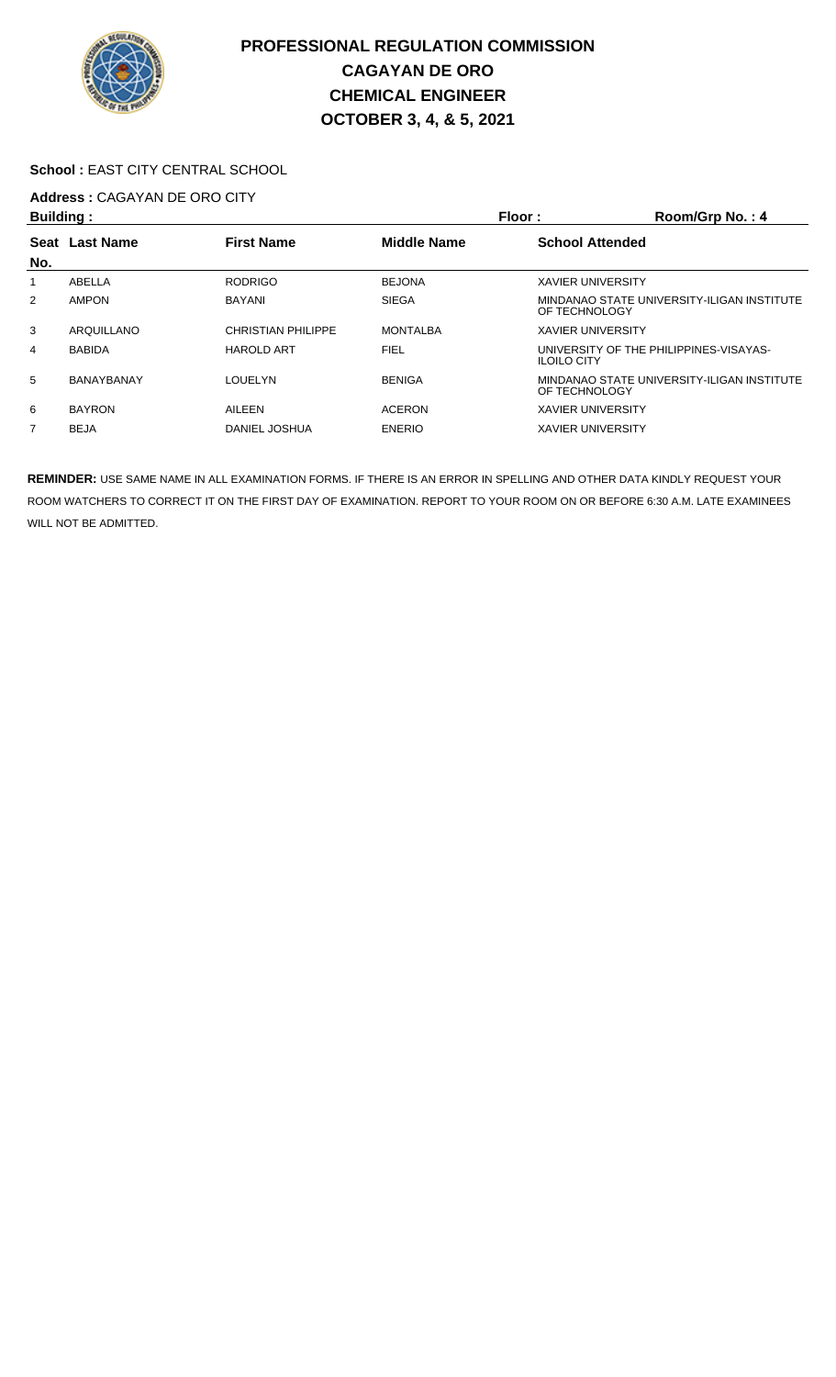

### School : EAST CITY CENTRAL SCHOOL

# **Address :** CAGAYAN DE ORO CITY

| <b>Building:</b> |                   |                           | Floor:             | Room/Grp No.: 4                                              |
|------------------|-------------------|---------------------------|--------------------|--------------------------------------------------------------|
| <b>Seat</b>      | <b>Last Name</b>  | <b>First Name</b>         | <b>Middle Name</b> | <b>School Attended</b>                                       |
| No.              |                   |                           |                    |                                                              |
|                  | ABELLA            | <b>RODRIGO</b>            | <b>BEJONA</b>      | <b>XAVIER UNIVERSITY</b>                                     |
| 2                | <b>AMPON</b>      | <b>BAYANI</b>             | <b>SIEGA</b>       | MINDANAO STATE UNIVERSITY-ILIGAN INSTITUTE<br>OF TECHNOLOGY  |
| 3                | ARQUILLANO        | <b>CHRISTIAN PHILIPPE</b> | <b>MONTALBA</b>    | <b>XAVIER UNIVERSITY</b>                                     |
| 4                | <b>BABIDA</b>     | <b>HAROLD ART</b>         | <b>FIEL</b>        | UNIVERSITY OF THE PHILIPPINES-VISAYAS-<br><b>ILOILO CITY</b> |
| 5                | <b>BANAYBANAY</b> | LOUELYN                   | <b>BENIGA</b>      | MINDANAO STATE UNIVERSITY-ILIGAN INSTITUTE<br>OF TECHNOLOGY  |
| 6                | <b>BAYRON</b>     | AILEEN                    | <b>ACERON</b>      | <b>XAVIER UNIVERSITY</b>                                     |
| 7                | <b>BEJA</b>       | DANIEL JOSHUA             | <b>ENERIO</b>      | <b>XAVIER UNIVERSITY</b>                                     |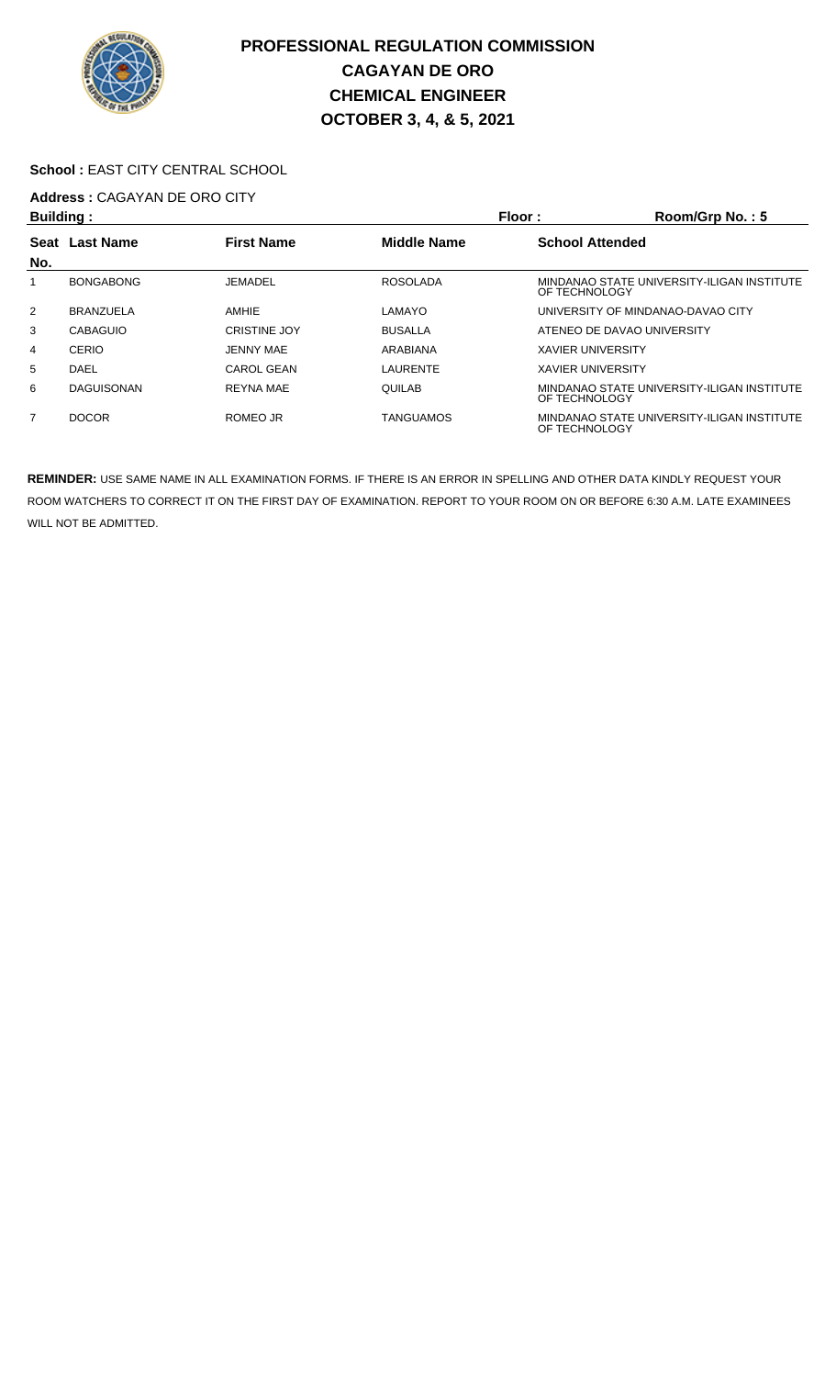

### School : EAST CITY CENTRAL SCHOOL

## **Address :** CAGAYAN DE ORO CITY

| <b>Building:</b>         |                   |                     |                    | Floor:                     | Room/Grp No.: 5                            |
|--------------------------|-------------------|---------------------|--------------------|----------------------------|--------------------------------------------|
| Seat<br><b>Last Name</b> |                   | <b>First Name</b>   | <b>Middle Name</b> | <b>School Attended</b>     |                                            |
| No.                      |                   |                     |                    |                            |                                            |
|                          | <b>BONGABONG</b>  | JEMADEL             | <b>ROSOLADA</b>    | OF TECHNOLOGY              | MINDANAO STATE UNIVERSITY-ILIGAN INSTITUTE |
| $\overline{2}$           | <b>BRANZUELA</b>  | AMHIE               | LAMAYO             |                            | UNIVERSITY OF MINDANAO-DAVAO CITY          |
| 3                        | <b>CABAGUIO</b>   | <b>CRISTINE JOY</b> | <b>BUSALLA</b>     | ATENEO DE DAVAO UNIVERSITY |                                            |
| 4                        | CERIO             | JENNY MAE           | ARABIANA           | <b>XAVIER UNIVERSITY</b>   |                                            |
| 5                        | DAEL              | CAROL GEAN          | LAURENTE           | <b>XAVIER UNIVERSITY</b>   |                                            |
| 6                        | <b>DAGUISONAN</b> | <b>REYNA MAE</b>    | <b>QUILAB</b>      | OF TECHNOLOGY              | MINDANAO STATE UNIVERSITY-ILIGAN INSTITUTE |
| 7                        | <b>DOCOR</b>      | ROMEO JR            | TANGUAMOS          | OF TECHNOLOGY              | MINDANAO STATE UNIVERSITY-ILIGAN INSTITUTE |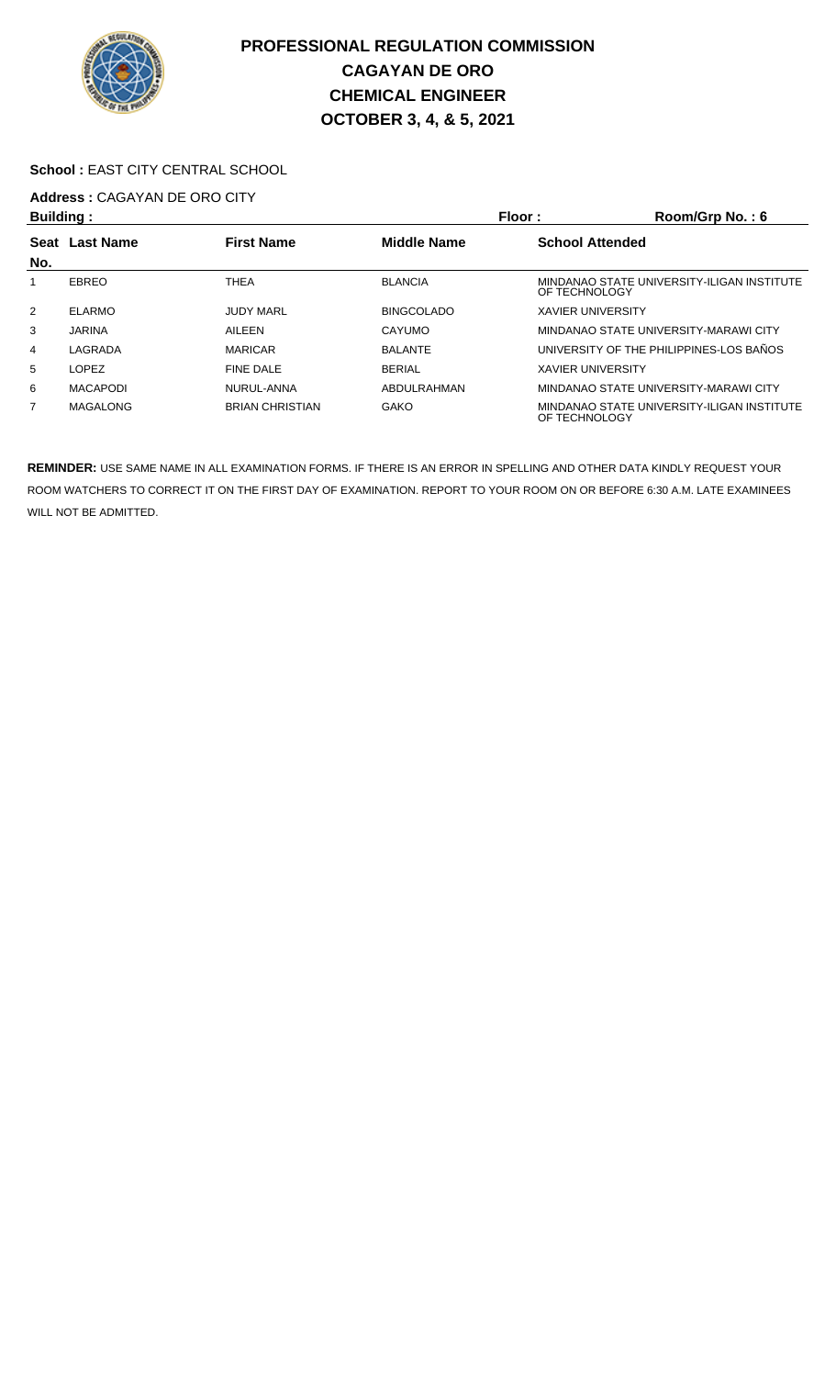

#### School : EAST CITY CENTRAL SCHOOL

## **Address :** CAGAYAN DE ORO CITY

| <b>Building:</b> |                  |                        |                    | Floor:                   | Room/Grp No.: 6                            |
|------------------|------------------|------------------------|--------------------|--------------------------|--------------------------------------------|
| <b>Seat</b>      | <b>Last Name</b> | <b>First Name</b>      | <b>Middle Name</b> | <b>School Attended</b>   |                                            |
| No.              |                  |                        |                    |                          |                                            |
|                  | EBREO            | <b>THEA</b>            | <b>BLANCIA</b>     | OF TECHNOLOGY            | MINDANAO STATE UNIVERSITY-ILIGAN INSTITUTE |
| $\overline{2}$   | ELARMO           | <b>JUDY MARL</b>       | <b>BINGCOLADO</b>  | <b>XAVIER UNIVERSITY</b> |                                            |
| 3                | <b>JARINA</b>    | AILEEN                 | CAYUMO             |                          | MINDANAO STATE UNIVERSITY-MARAWI CITY      |
| 4                | LAGRADA          | <b>MARICAR</b>         | <b>BALANTE</b>     |                          | UNIVERSITY OF THE PHILIPPINES-LOS BAÑOS    |
| 5                | <b>LOPEZ</b>     | <b>FINE DALE</b>       | <b>BERIAL</b>      | <b>XAVIER UNIVERSITY</b> |                                            |
| 6                | <b>MACAPODI</b>  | NURUL-ANNA             | ABDULRAHMAN        |                          | MINDANAO STATE UNIVERSITY-MARAWI CITY      |
| 7                | <b>MAGALONG</b>  | <b>BRIAN CHRISTIAN</b> | <b>GAKO</b>        | OF TECHNOLOGY            | MINDANAO STATE UNIVERSITY-ILIGAN INSTITUTE |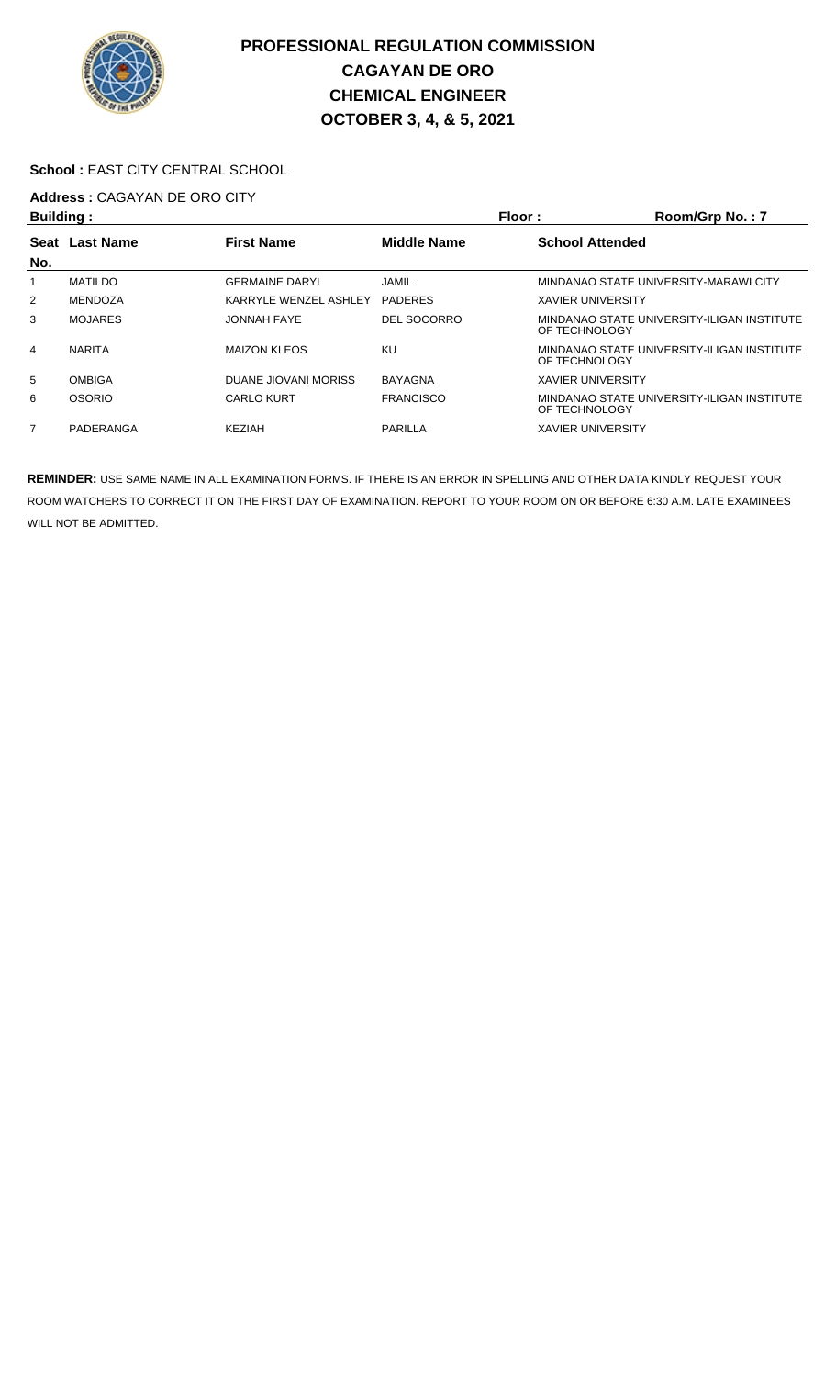

### School : EAST CITY CENTRAL SCHOOL

## **Address :** CAGAYAN DE ORO CITY

| <b>Building:</b> |                |                       |                    | Floor:                   | Room/Grp No.: 7                            |
|------------------|----------------|-----------------------|--------------------|--------------------------|--------------------------------------------|
|                  | Seat Last Name | <b>First Name</b>     | <b>Middle Name</b> | <b>School Attended</b>   |                                            |
| No.              |                |                       |                    |                          |                                            |
|                  | <b>MATILDO</b> | <b>GERMAINE DARYL</b> | <b>JAMIL</b>       |                          | MINDANAO STATE UNIVERSITY-MARAWI CITY      |
| $\overline{2}$   | MENDOZA        | KARRYLE WENZEL ASHLEY | <b>PADERES</b>     | <b>XAVIER UNIVERSITY</b> |                                            |
| 3                | <b>MOJARES</b> | JONNAH FAYE           | <b>DEL SOCORRO</b> | OF TECHNOLOGY            | MINDANAO STATE UNIVERSITY-ILIGAN INSTITUTE |
| 4                | <b>NARITA</b>  | <b>MAIZON KLEOS</b>   | KU                 | OF TECHNOLOGY            | MINDANAO STATE UNIVERSITY-ILIGAN INSTITUTE |
| 5                | <b>OMBIGA</b>  | DUANE JIOVANI MORISS  | <b>BAYAGNA</b>     | <b>XAVIER UNIVERSITY</b> |                                            |
| 6                | <b>OSORIO</b>  | <b>CARLO KURT</b>     | <b>FRANCISCO</b>   | OF TECHNOLOGY            | MINDANAO STATE UNIVERSITY-ILIGAN INSTITUTE |
| $\overline{7}$   | PADERANGA      | <b>KF7IAH</b>         | PARILLA            | <b>XAVIER UNIVERSITY</b> |                                            |